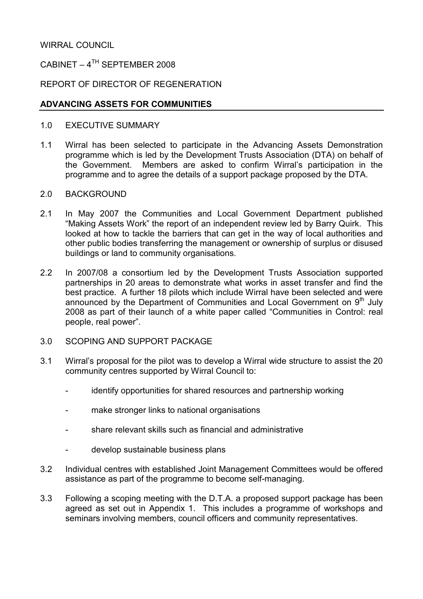### WIRRAL COUNCIL

## CABINET –  $4^{TH}$  SEPTEMBER 2008

#### REPORT OF DIRECTOR OF REGENERATION

#### ADVANCING ASSETS FOR COMMUNITIES

- 1.0 EXECUTIVE SUMMARY
- 1.1 Wirral has been selected to participate in the Advancing Assets Demonstration programme which is led by the Development Trusts Association (DTA) on behalf of the Government. Members are asked to confirm Wirral's participation in the programme and to agree the details of a support package proposed by the DTA.
- 2.0 BACKGROUND
- 2.1 In May 2007 the Communities and Local Government Department published "Making Assets Work" the report of an independent review led by Barry Quirk. This looked at how to tackle the barriers that can get in the way of local authorities and other public bodies transferring the management or ownership of surplus or disused buildings or land to community organisations.
- 2.2 In 2007/08 a consortium led by the Development Trusts Association supported partnerships in 20 areas to demonstrate what works in asset transfer and find the best practice. A further 18 pilots which include Wirral have been selected and were announced by the Department of Communities and Local Government on 9<sup>th</sup> July 2008 as part of their launch of a white paper called "Communities in Control: real people, real power".
- 3.0 SCOPING AND SUPPORT PACKAGE
- 3.1 Wirral's proposal for the pilot was to develop a Wirral wide structure to assist the 20 community centres supported by Wirral Council to:
	- identify opportunities for shared resources and partnership working
	- make stronger links to national organisations
	- share relevant skills such as financial and administrative
	- develop sustainable business plans
- 3.2 Individual centres with established Joint Management Committees would be offered assistance as part of the programme to become self-managing.
- 3.3 Following a scoping meeting with the D.T.A. a proposed support package has been agreed as set out in Appendix 1. This includes a programme of workshops and seminars involving members, council officers and community representatives.